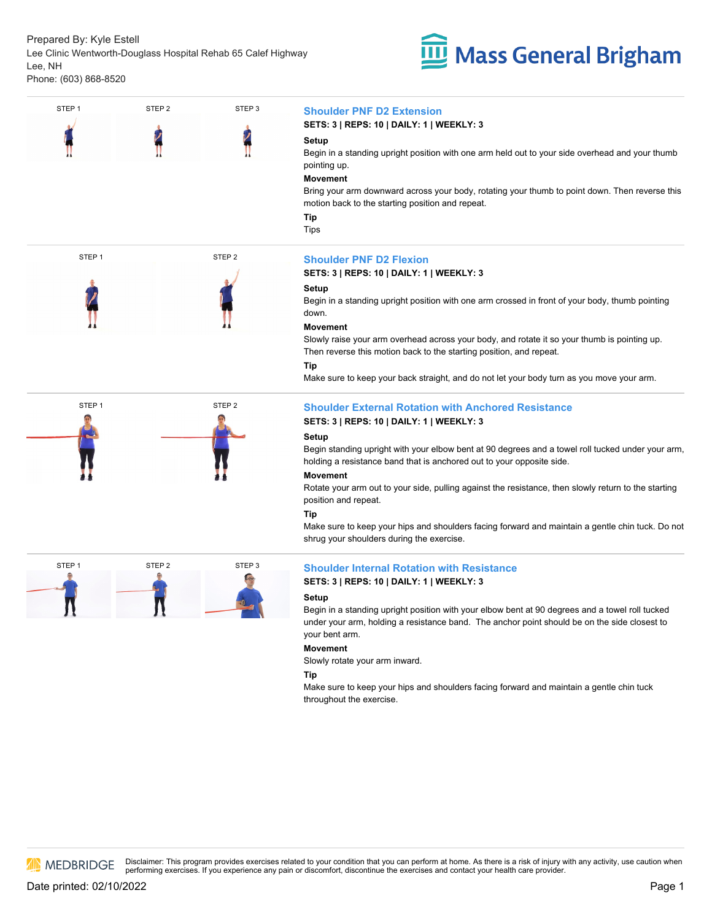Prepared By: Kyle Estell Lee Clinic Wentworth-Douglass Hospital Rehab 65 Calef Highway Lee, NH Phone: (603) 868-8520







# STEP 1STEP <sup>2</sup> STEP <sup>3</sup>**Shoulder PNF D2 Extension**

### **SETS: 3 | REPS: 10 | DAILY: 1 | WEEKLY: 3**

### **Setup**

Begin in a standing upright position with one arm held out to your side overhead and your thumb pointing up.

### **Movement**

Bring your arm downward across your body, rotating your thumb to point down. Then reverse this motion back to the starting position and repeat.

**Tip** Tips

### **SETS: 3 | REPS: 10 | DAILY: 1 | WEEKLY: 3**

### **Setup**

Begin in a standing upright position with one arm crossed in front of your body, thumb pointing down.

### **Movement**

Slowly raise your arm overhead across your body, and rotate it so your thumb is pointing up. Then reverse this motion back to the starting position, and repeat.

# **Tip**

Make sure to keep your back straight, and do not let your body turn as you move your arm.

# **SETS: 3 | REPS: 10 | DAILY: 1 | WEEKLY: 3**

### **Setup**

Begin standing upright with your elbow bent at 90 degrees and a towel roll tucked under your arm, holding a resistance band that is anchored out to your opposite side.

### **Movement**

Rotate your arm out to your side, pulling against the resistance, then slowly return to the starting position and repeat.

### **Tip**

Make sure to keep your hips and shoulders facing forward and maintain a gentle chin tuck. Do not shrug your shoulders during the exercise.

# **SETS: 3 | REPS: 10 | DAILY: 1 | WEEKLY: 3**

### **Setup**

Begin in a standing upright position with your elbow bent at 90 degrees and a towel roll tucked under your arm, holding a resistance band. The anchor point should be on the side closest to your bent arm.

### **Movement**

Slowly rotate your arm inward.

### **Tip**

Make sure to keep your hips and shoulders facing forward and maintain a gentle chin tuck throughout the exercise.

**AN MEDBRIDGE**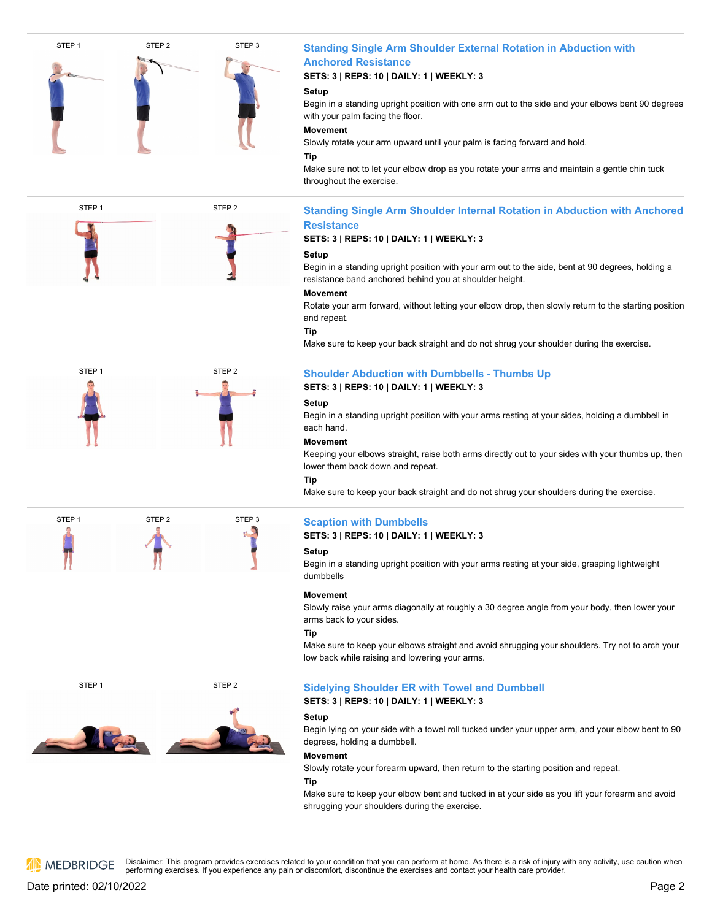

# STEP 1STEP <sup>2</sup> STEP <sup>3</sup>**Standing Single Arm Shoulder External Rotation in Abduction with Anchored Resistance**

# **SETS: 3 | REPS: 10 | DAILY: 1 | WEEKLY: 3**

# **Setup**

Begin in a standing upright position with one arm out to the side and your elbows bent 90 degrees with your palm facing the floor.

# **Movement**

Slowly rotate your arm upward until your palm is facing forward and hold.

# **Tip**

Make sure not to let your elbow drop as you rotate your arms and maintain a gentle chin tuck throughout the exercise.

# STEP 1STEP <sup>2</sup>**Standing Single Arm Shoulder Internal Rotation in Abduction with Anchored Resistance**

# **SETS: 3 | REPS: 10 | DAILY: 1 | WEEKLY: 3**

# **Setup**

Begin in a standing upright position with your arm out to the side, bent at 90 degrees, holding a resistance band anchored behind you at shoulder height.

# **Movement**

Rotate your arm forward, without letting your elbow drop, then slowly return to the starting position and repeat.

# **Tip**

Make sure to keep your back straight and do not shrug your shoulder during the exercise.

# **SETS: 3 | REPS: 10 | DAILY: 1 | WEEKLY: 3 Setup**

Begin in a standing upright position with your arms resting at your sides, holding a dumbbell in each hand.

# **Movement**

Keeping your elbows straight, raise both arms directly out to your sides with your thumbs up, then lower them back down and repeat.

### **Tip**

Make sure to keep your back straight and do not shrug your shoulders during the exercise.

**SETS: 3 | REPS: 10 | DAILY: 1 | WEEKLY: 3**

# **Setup**

Begin in a standing upright position with your arms resting at your side, grasping lightweight dumbbells

### **Movement**

Slowly raise your arms diagonally at roughly a 30 degree angle from your body, then lower your arms back to your sides.

# **Tip**

Make sure to keep your elbows straight and avoid shrugging your shoulders. Try not to arch your low back while raising and lowering your arms.

# STEP 1STEP <sup>2</sup>**Sidelying Shoulder ER with Towel and Dumbbell SETS: 3 | REPS: 10 | DAILY: 1 | WEEKLY: 3**

# **Setup**

Begin lying on your side with a towel roll tucked under your upper arm, and your elbow bent to 90 degrees, holding a dumbbell.

# **Movement**

Slowly rotate your forearm upward, then return to the starting position and repeat.

### **Tip**

Make sure to keep your elbow bent and tucked in at your side as you lift your forearm and avoid shrugging your shoulders during the exercise.

**AN MEDBRIDGE**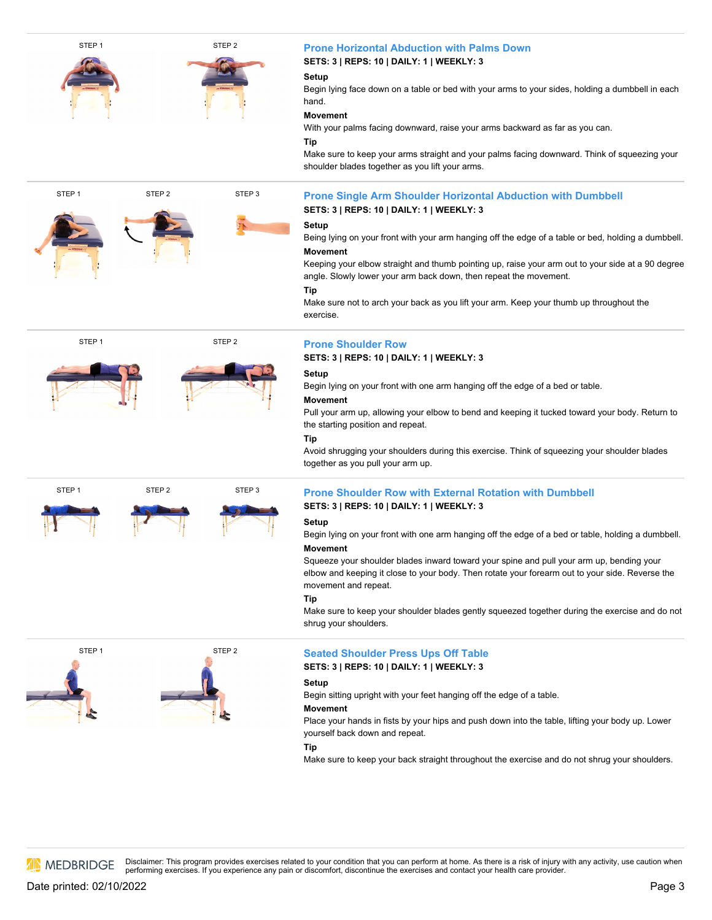

# **SETS: 3 | REPS: 10 | DAILY: 1 | WEEKLY: 3**

# **Setup**

Begin lying face down on a table or bed with your arms to your sides, holding a dumbbell in each hand.

# **Movement**

With your palms facing downward, raise your arms backward as far as you can.

# **Tip**

Make sure to keep your arms straight and your palms facing downward. Think of squeezing your shoulder blades together as you lift your arms.

# STEP 1STEP <sup>2</sup> STEP <sup>3</sup>**Prone Single Arm Shoulder Horizontal Abduction with Dumbbell SETS: 3 | REPS: 10 | DAILY: 1 | WEEKLY: 3**

# **Setup**

Being lying on your front with your arm hanging off the edge of a table or bed, holding a dumbbell. **Movement**

Keeping your elbow straight and thumb pointing up, raise your arm out to your side at a 90 degree angle. Slowly lower your arm back down, then repeat the movement.

# **Tip**

Make sure not to arch your back as you lift your arm. Keep your thumb up throughout the exercise.



# **STEP 2 Prone Shoulder Row**

# **SETS: 3 | REPS: 10 | DAILY: 1 | WEEKLY: 3**

# **Setup**

Begin lying on your front with one arm hanging off the edge of a bed or table.

Pull your arm up, allowing your elbow tobend and keeping it tucked toward your body. Return to

Avoid shrugging your shoulders during this exercise. Think of squeezing your shoulder blades together as you pull your arm up.



**Movement**

the starting position and repeat.

# **Tip**

# **SETS: 3 | REPS: 10 | DAILY: 1 | WEEKLY: 3**

# **Setup**

Begin lying on your front with one arm hanging off the edge of a bed or table, holding a dumbbell. **Movement**

Squeeze your shoulder blades inward toward your spine and pull your arm up, bending your elbow and keeping it close to your body. Then rotate your forearm out to your side. Reverse the movement and repeat.

# **Tip**

Make sure to keep your shoulder blades gently squeezed together during the exercise and do not shrug your shoulders.



# **STEP 2** STEP 2 Seated Shoulder Press Ups Off Table

# **SETS: 3 | REPS: 10 | DAILY: 1 | WEEKLY: 3**

# **Setup**

Begin sitting upright with your feet hanging off the edge of a table.

# **Movement**

Place your hands in fists by your hips and push down into the table, lifting your body up. Lower yourself back down and repeat.

### **Tip**

Make sure to keep your back straight throughout the exercise and do not shrug your shoulders.

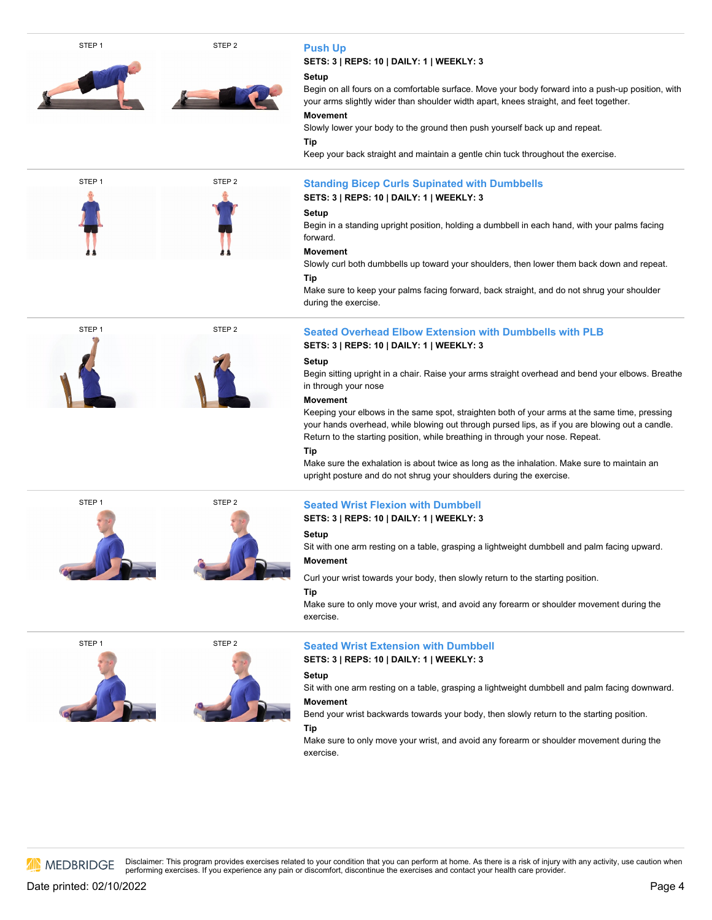

# **SETS: 3 | REPS: 10 | DAILY: 1 | WEEKLY: 3**

Begin on all fours on a comfortable surface. Move your body forward into a push-up position, with your arms slightly wider than shoulder width apart, knees straight, and feet together.

Slowly lower your body to the ground then push yourself back up and repeat.

Keep your back straight and maintain a gentle chin tuck throughout the exercise.

**SETS: 3 | REPS: 10 | DAILY: 1 | WEEKLY: 3**

Begin in a standing upright position, holding a dumbbell in each hand, with your palms facing

Slowly curl both dumbbells up toward your shoulders, then lower them back down and repeat.

Make sure to keep your palms facing forward, back straight, and do not shrug your shoulder during the exercise.

# **SETS: 3 | REPS: 10 | DAILY: 1 | WEEKLY: 3**

Begin sitting upright in a chair. Raise your arms straight overhead and bend your elbows. Breathe in through your nose

Keeping your elbows in the same spot, straighten both of your arms at the same time, pressing your hands overhead, while blowing out through pursed lips, as if you are blowing out a candle. Return to the starting position, while breathing in through your nose. Repeat.

Make sure the exhalation is about twice as long as the inhalation. Make sure to maintain an upright posture and do not shrug your shoulders during the exercise.

# **SETS: 3 | REPS: 10 | DAILY: 1 | WEEKLY: 3**

Sit with one arm resting on a table, grasping a lightweight dumbbell and palm facing upward.

Curl your wrist towards your body, then slowly return to the starting position.

# **Tip**

Make sure to only move your wrist, and avoid any forearm or shoulder movement during the exercise.



**SETS: 3 | REPS: 10 | DAILY: 1 | WEEKLY: 3**

# **Setup**

Sit with one arm resting on a table, grasping a lightweight dumbbell and palm facing downward. **Movement**

Bend your wrist backwards towards your body, then slowly return to the starting position.

### **Tip**

Make sure to only move your wrist, and avoid any forearm or shoulder movement during the exercise.

**AN MEDBRIDGE**